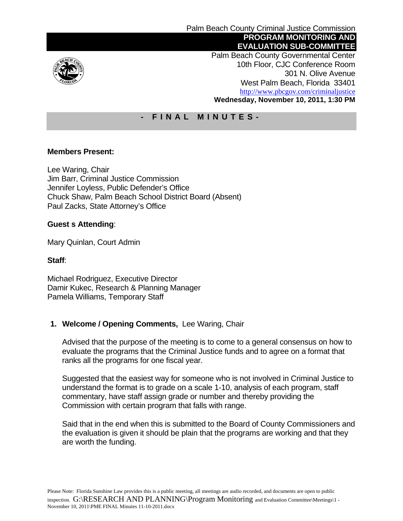

 Palm Beach County Governmental Center 10th Floor, CJC Conference Room 301 N. Olive Avenue West Palm Beach, Florida 33401 http://www.pbcgov.com/criminaljustice **Wednesday, November 10, 2011, 1:30 PM** 

# **- FINAL MINUTES-**

# **Members Present:**

Lee Waring, Chair Jim Barr, Criminal Justice Commission Jennifer Loyless, Public Defender's Office Chuck Shaw, Palm Beach School District Board (Absent) Paul Zacks, State Attorney's Office

### **Guest s Attending**:

Mary Quinlan, Court Admin

#### **Staff**:

Michael Rodriguez, Executive Director Damir Kukec, Research & Planning Manager Pamela Williams, Temporary Staff

# **1. Welcome / Opening Comments,** Lee Waring, Chair

Advised that the purpose of the meeting is to come to a general consensus on how to evaluate the programs that the Criminal Justice funds and to agree on a format that ranks all the programs for one fiscal year.

Suggested that the easiest way for someone who is not involved in Criminal Justice to understand the format is to grade on a scale 1-10, analysis of each program, staff commentary, have staff assign grade or number and thereby providing the Commission with certain program that falls with range.

Said that in the end when this is submitted to the Board of County Commissioners and the evaluation is given it should be plain that the programs are working and that they are worth the funding.